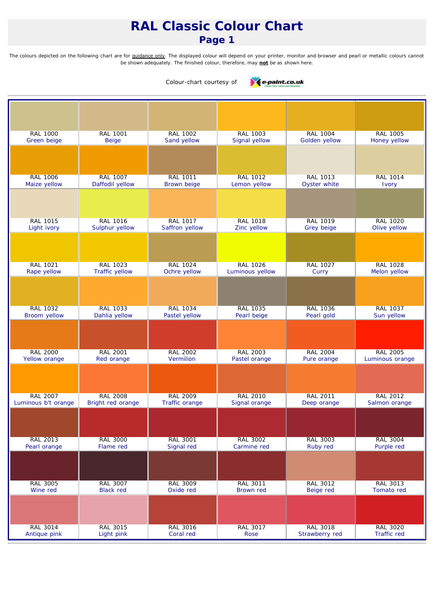### *Page 1*

*The colours depicted on the following chart are for guidance only. The displayed colour will depend on your printer, monitor and browser and pearl or metallic colours cannot be shown adequately. The finished colour, therefore, may not be as shown here.*



| <b>RAL 1000</b><br>Green beige  | <b>RAL 1001</b><br><b>Beige</b>   | <b>RAL 1002</b><br>Sand yellow    | <b>RAL 1003</b><br>Signal yellow | <b>RAL 1004</b><br>Golden yellow  | <b>RAL 1005</b><br>Honey yellow |
|---------------------------------|-----------------------------------|-----------------------------------|----------------------------------|-----------------------------------|---------------------------------|
|                                 |                                   |                                   |                                  |                                   |                                 |
|                                 |                                   |                                   |                                  |                                   |                                 |
| <b>RAL 1006</b>                 | <b>RAL 1007</b>                   | <b>RAL 1011</b>                   | <b>RAL 1012</b>                  | <b>RAL 1013</b>                   | <b>RAL 1014</b>                 |
| Maize yellow                    | Daffodil yellow                   | <b>Brown beige</b>                | Lemon yellow                     | Oyster white                      | Ivory                           |
|                                 |                                   |                                   |                                  |                                   |                                 |
|                                 |                                   |                                   |                                  |                                   |                                 |
| <b>RAL 1015</b><br>Light ivory  | <b>RAL 1016</b><br>Sulphur yellow | <b>RAL 1017</b><br>Saffron yellow | <b>RAL 1018</b><br>Zinc yellow   | <b>RAL 1019</b><br>Grey beige     | <b>RAL 1020</b><br>Olive yellow |
|                                 |                                   |                                   |                                  |                                   |                                 |
|                                 |                                   |                                   |                                  |                                   |                                 |
| <b>RAL 1021</b>                 | <b>RAL 1023</b>                   | <b>RAL 1024</b>                   | <b>RAL 1026</b>                  | <b>RAL 1027</b>                   | <b>RAL 1028</b>                 |
| Rape yellow                     | <b>Traffic yellow</b>             | Ochre yellow                      | Luminous yellow                  | Curry                             | Melon yellow                    |
|                                 |                                   |                                   |                                  |                                   |                                 |
|                                 |                                   |                                   |                                  |                                   |                                 |
| <b>RAL 1032</b>                 | <b>RAL 1033</b>                   | <b>RAL 1034</b>                   | RAL 1035                         | <b>RAL 1036</b>                   | <b>RAL 1037</b>                 |
| Broom yellow                    | Dahlia yellow                     | Pastel yellow                     | Pearl beige                      | Pearl gold                        | Sun yellow                      |
|                                 |                                   |                                   |                                  |                                   |                                 |
| <b>RAL 2000</b>                 | <b>RAL 2001</b>                   | <b>RAL 2002</b>                   | <b>RAL 2003</b>                  | <b>RAL 2004</b>                   | <b>RAL 2005</b>                 |
| Yellow orange                   | Red orange                        | Vermilion                         | Pastel orange                    | Pure orange                       | Luminous orange                 |
|                                 |                                   |                                   |                                  |                                   |                                 |
|                                 |                                   |                                   |                                  |                                   |                                 |
| <b>RAL 2007</b>                 | <b>RAL 2008</b>                   | <b>RAL 2009</b>                   | <b>RAL 2010</b>                  | <b>RAL 2011</b>                   | <b>RAL 2012</b>                 |
| Luminous b't orange             | Bright red orange                 | Traffic orange                    | Signal orange                    | Deep orange                       | Salmon orange                   |
|                                 |                                   |                                   |                                  |                                   |                                 |
|                                 |                                   |                                   |                                  |                                   |                                 |
| <b>RAL 2013</b><br>Pearl orange | <b>RAL 3000</b><br>Flame red      | RAL 3001<br>Signal red            | RAL 3002<br>Carmine red          | RAL 3003<br>Ruby red              | <b>RAL 3004</b><br>Purple red   |
|                                 |                                   |                                   |                                  |                                   |                                 |
|                                 |                                   |                                   |                                  |                                   |                                 |
| <b>RAL 3005</b>                 | RAL 3007                          | RAL 3009                          | RAL 3011                         | RAL 3012                          | RAL 3013                        |
| Wine red                        | <b>Black red</b>                  | Oxide red                         | <b>Brown red</b>                 | Beige red                         | Tomato red                      |
|                                 |                                   |                                   |                                  |                                   |                                 |
|                                 |                                   |                                   |                                  |                                   |                                 |
| <b>RAL 3014</b><br>Antique pink | <b>RAL 3015</b><br>Light pink     | <b>RAL 3016</b><br>Coral red      | <b>RAL 3017</b><br>Rose          | <b>RAL 3018</b><br>Strawberry red | <b>RAL 3020</b><br>Traffic red  |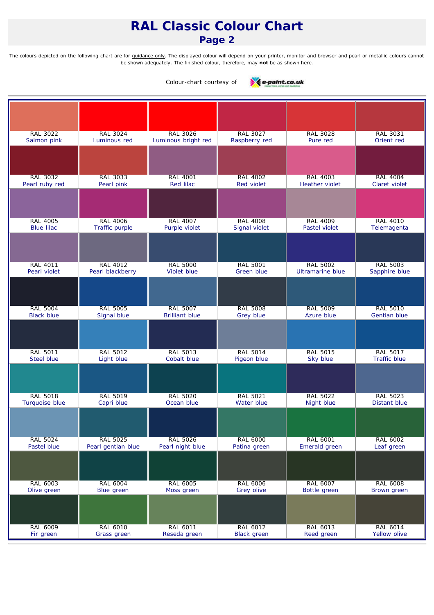### *Page 2*

*The colours depicted on the following chart are for guidance only. The displayed colour will depend on your printer, monitor and browser and pearl or metallic colours cannot be shown adequately. The finished colour, therefore, may not be as shown here.*



| <b>RAL 3022</b><br>Salmon pink       | <b>RAL 3024</b><br>Luminous red     | <b>RAL 3026</b><br>Luminous bright red   | <b>RAL 3027</b><br>Raspberry red    | <b>RAL 3028</b><br>Pure red                | <b>RAL 3031</b><br>Orient red           |
|--------------------------------------|-------------------------------------|------------------------------------------|-------------------------------------|--------------------------------------------|-----------------------------------------|
|                                      |                                     |                                          |                                     |                                            |                                         |
|                                      |                                     |                                          |                                     |                                            |                                         |
|                                      |                                     |                                          |                                     |                                            |                                         |
| <b>RAL 3032</b><br>Pearl ruby red    | <b>RAL 3033</b><br>Pearl pink       | <b>RAL 4001</b><br>Red lilac             | <b>RAL 4002</b><br>Red violet       | <b>RAL 4003</b><br><b>Heather violet</b>   | <b>RAL 4004</b><br><b>Claret violet</b> |
|                                      |                                     |                                          |                                     |                                            |                                         |
|                                      |                                     |                                          |                                     |                                            |                                         |
|                                      |                                     |                                          |                                     |                                            |                                         |
| <b>RAL 4005</b><br><b>Blue lilac</b> | <b>RAL 4006</b><br>Traffic purple   | <b>RAL 4007</b><br>Purple violet         | <b>RAL 4008</b><br>Signal violet    | <b>RAL 4009</b><br>Pastel violet           | <b>RAL 4010</b><br>Telemagenta          |
|                                      |                                     |                                          |                                     |                                            |                                         |
|                                      |                                     |                                          |                                     |                                            |                                         |
|                                      |                                     |                                          |                                     |                                            |                                         |
| <b>RAL 4011</b><br>Pearl violet      | <b>RAL 4012</b><br>Pearl blackberry | <b>RAL 5000</b><br>Violet blue           | <b>RAL 5001</b><br>Green blue       | <b>RAL 5002</b><br><b>Ultramarine blue</b> | <b>RAL 5003</b><br>Sapphire blue        |
|                                      |                                     |                                          |                                     |                                            |                                         |
|                                      |                                     |                                          |                                     |                                            |                                         |
|                                      |                                     |                                          |                                     |                                            |                                         |
| <b>RAL 5004</b><br><b>Black blue</b> | <b>RAL 5005</b><br>Signal blue      | <b>RAL 5007</b><br><b>Brilliant blue</b> | <b>RAL 5008</b><br><b>Grey blue</b> | <b>RAL 5009</b><br>Azure blue              | <b>RAL 5010</b><br><b>Gentian blue</b>  |
|                                      |                                     |                                          |                                     |                                            |                                         |
|                                      |                                     |                                          |                                     |                                            |                                         |
| <b>RAL 5011</b>                      | <b>RAL 5012</b>                     | <b>RAL 5013</b>                          | <b>RAL 5014</b>                     | <b>RAL 5015</b>                            | <b>RAL 5017</b>                         |
| <b>Steel blue</b>                    | Light blue                          | Cobalt blue                              | Pigeon blue                         | Sky blue                                   | <b>Traffic blue</b>                     |
|                                      |                                     |                                          |                                     |                                            |                                         |
|                                      |                                     |                                          |                                     |                                            |                                         |
| <b>RAL 5018</b>                      | <b>RAL 5019</b>                     | <b>RAL 5020</b>                          | <b>RAL 5021</b>                     | <b>RAL 5022</b>                            | <b>RAL 5023</b>                         |
| Turquoise blue                       | Capri blue                          | Ocean blue                               | Water blue                          | Night blue                                 | <b>Distant blue</b>                     |
|                                      |                                     |                                          |                                     |                                            |                                         |
|                                      |                                     |                                          |                                     |                                            |                                         |
| RAL 5024                             | <b>RAL 5025</b>                     | <b>RAL 5026</b>                          | RAL 6000                            | RAL 6001                                   | RAL 6002                                |
| Pastel blue                          | Pearl gentian blue                  | Pearl night blue                         | Patina green                        | Emerald green                              | Leaf green                              |
|                                      |                                     |                                          |                                     |                                            |                                         |
|                                      |                                     |                                          |                                     |                                            |                                         |
| RAL 6003                             | <b>RAL 6004</b>                     | <b>RAL 6005</b>                          | <b>RAL 6006</b>                     | RAL 6007                                   | <b>RAL 6008</b>                         |
| Olive green                          | Blue green                          | Moss green                               | Grey olive                          | Bottle green                               | Brown green                             |
|                                      |                                     |                                          |                                     |                                            |                                         |
|                                      |                                     |                                          |                                     |                                            |                                         |
| <b>RAL 6009</b>                      | <b>RAL 6010</b>                     | <b>RAL 6011</b>                          | <b>RAL 6012</b>                     | RAL 6013                                   | <b>RAL 6014</b>                         |
| Fir green                            | Grass green                         | Reseda green                             | <b>Black</b> green                  | Reed green                                 | Yellow olive                            |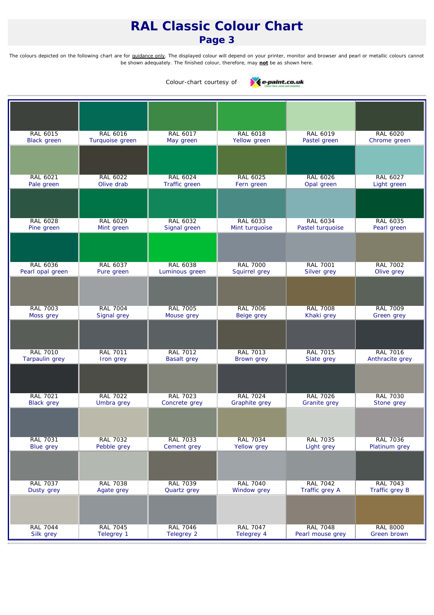### *Page 3*

*The colours depicted on the following chart are for guidance only. The displayed colour will depend on your printer, monitor and browser and pearl or metallic colours cannot be shown adequately. The finished colour, therefore, may not be as shown here.*



| <b>RAL 6015</b>                      | RAL 6016                      | RAL 6017                          | <b>RAL 6018</b>                  | <b>RAL 6019</b>                     | RAL 6020                       |
|--------------------------------------|-------------------------------|-----------------------------------|----------------------------------|-------------------------------------|--------------------------------|
| <b>Black green</b>                   | Turquoise green               | May green                         | Yellow green                     | Pastel green                        | Chrome green                   |
|                                      |                               |                                   |                                  |                                     |                                |
| <b>RAL 6021</b>                      | RAL 6022                      | <b>RAL 6024</b>                   | <b>RAL 6025</b>                  | <b>RAL 6026</b>                     | <b>RAL 6027</b>                |
| Pale green                           | Olive drab                    | Traffic green                     | Fern green                       | Opal green                          | Light green                    |
|                                      |                               |                                   |                                  |                                     |                                |
|                                      |                               |                                   |                                  |                                     |                                |
| <b>RAL 6028</b><br>Pine green        | RAL 6029<br>Mint green        | <b>RAL 6032</b><br>Signal green   | RAL 6033<br>Mint turquoise       | <b>RAL 6034</b><br>Pastel turquoise | <b>RAL 6035</b><br>Pearl green |
|                                      |                               |                                   |                                  |                                     |                                |
|                                      |                               |                                   |                                  |                                     |                                |
| <b>RAL 6036</b><br>Pearl opal green  | RAL 6037                      | <b>RAL 6038</b><br>Luminous green | <b>RAL 7000</b><br>Squirrel grey | <b>RAL 7001</b>                     | <b>RAL 7002</b><br>Olive grey  |
|                                      | Pure green                    |                                   |                                  | Silver grey                         |                                |
|                                      |                               |                                   |                                  |                                     |                                |
| <b>RAL 7003</b>                      | <b>RAL 7004</b>               | <b>RAL 7005</b>                   | <b>RAL 7006</b>                  | <b>RAL 7008</b>                     | <b>RAL 7009</b>                |
| Moss grey                            | Signal grey                   | Mouse grey                        | Beige grey                       | Khaki grey                          | Green grey                     |
|                                      |                               |                                   |                                  |                                     |                                |
| <b>RAL 7010</b>                      | <b>RAL 7011</b>               | <b>RAL 7012</b>                   | <b>RAL 7013</b>                  | <b>RAL 7015</b>                     | <b>RAL 7016</b>                |
| <b>Tarpaulin</b> grey                | Iron grey                     | <b>Basalt grey</b>                | Brown grey                       | Slate grey                          | Anthracite grey                |
|                                      |                               |                                   |                                  |                                     |                                |
|                                      |                               |                                   |                                  |                                     |                                |
| <b>RAL 7021</b><br><b>Black grey</b> | <b>RAL 7022</b><br>Umbra grey | <b>RAL 7023</b><br>Concrete grey  | <b>RAL 7024</b><br>Graphite grey | <b>RAL 7026</b><br>Granite grey     | <b>RAL 7030</b><br>Stone grey  |
|                                      |                               |                                   |                                  |                                     |                                |
|                                      |                               |                                   |                                  |                                     |                                |
| <b>RAL 7031</b>                      | RAL 7032                      | RAL 7033                          | <b>RAL 7034</b>                  | RAL 7035                            | RAL 7036                       |
| <b>Blue grey</b>                     | Pebble grey                   | Cement grey                       | Yellow grey                      | Light grey                          | Platinum grey                  |
|                                      |                               |                                   |                                  |                                     |                                |
| <b>RAL 7037</b>                      | <b>RAL 7038</b>               | <b>RAL 7039</b>                   | <b>RAL 7040</b>                  | <b>RAL 7042</b>                     | <b>RAL 7043</b>                |
| Dusty grey                           | Agate grey                    | Quartz grey                       | Window grey                      | Traffic grey A                      | Traffic grey B                 |
|                                      |                               |                                   |                                  |                                     |                                |
| <b>RAL 7044</b>                      | <b>RAL 7045</b>               | <b>RAL 7046</b>                   | <b>RAL 7047</b>                  | <b>RAL 7048</b>                     | <b>RAL 8000</b>                |
| Silk grey                            | Telegrey 1                    | <b>Telegrey 2</b>                 | Telegrey 4                       | Pearl mouse grey                    | Green brown                    |